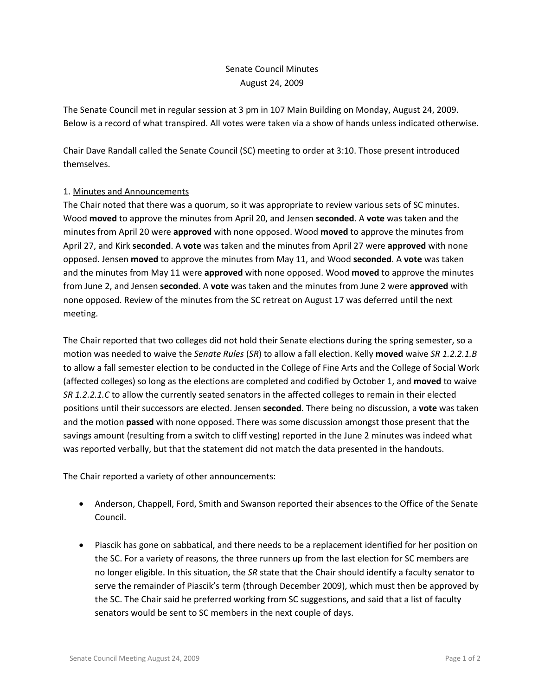## Senate Council Minutes August 24, 2009

The Senate Council met in regular session at 3 pm in 107 Main Building on Monday, August 24, 2009. Below is a record of what transpired. All votes were taken via a show of hands unless indicated otherwise.

Chair Dave Randall called the Senate Council (SC) meeting to order at 3:10. Those present introduced themselves.

## 1. Minutes and Announcements

The Chair noted that there was a quorum, so it was appropriate to review various sets of SC minutes. Wood **moved** to approve the minutes from April 20, and Jensen **seconded**. A **vote** was taken and the minutes from April 20 were **approved** with none opposed. Wood **moved** to approve the minutes from April 27, and Kirk **seconded**. A **vote** was taken and the minutes from April 27 were **approved** with none opposed. Jensen **moved** to approve the minutes from May 11, and Wood **seconded**. A **vote** was taken and the minutes from May 11 were **approved** with none opposed. Wood **moved** to approve the minutes from June 2, and Jensen **seconded**. A **vote** was taken and the minutes from June 2 were **approved** with none opposed. Review of the minutes from the SC retreat on August 17 was deferred until the next meeting.

The Chair reported that two colleges did not hold their Senate elections during the spring semester, so a motion was needed to waive the *Senate Rules* (*SR*) to allow a fall election. Kelly **moved** waive *SR 1.2.2.1.B*  to allow a fall semester election to be conducted in the College of Fine Arts and the College of Social Work (affected colleges) so long as the elections are completed and codified by October 1, and **moved** to waive *SR 1.2.2.1.C* to allow the currently seated senators in the affected colleges to remain in their elected positions until their successors are elected. Jensen **seconded**. There being no discussion, a **vote** was taken and the motion **passed** with none opposed. There was some discussion amongst those present that the savings amount (resulting from a switch to cliff vesting) reported in the June 2 minutes was indeed what was reported verbally, but that the statement did not match the data presented in the handouts.

The Chair reported a variety of other announcements:

- Anderson, Chappell, Ford, Smith and Swanson reported their absences to the Office of the Senate Council.
- Piascik has gone on sabbatical, and there needs to be a replacement identified for her position on the SC. For a variety of reasons, the three runners up from the last election for SC members are no longer eligible. In this situation, the *SR* state that the Chair should identify a faculty senator to serve the remainder of Piascik's term (through December 2009), which must then be approved by the SC. The Chair said he preferred working from SC suggestions, and said that a list of faculty senators would be sent to SC members in the next couple of days.